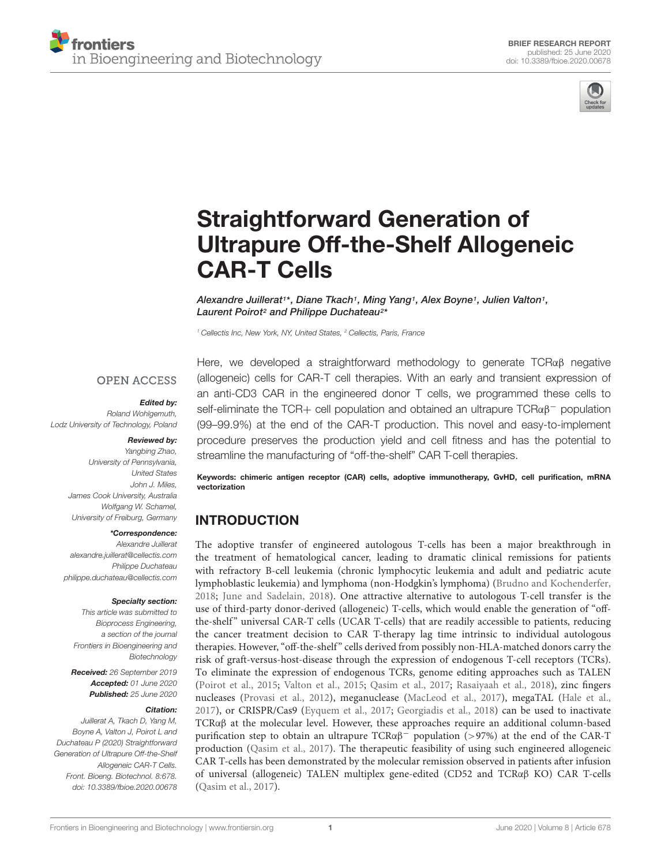



# Straightforward Generation of [Ultrapure Off-the-Shelf Allogeneic](https://www.frontiersin.org/articles/10.3389/fbioe.2020.00678/full) CAR-T Cells

[Alexandre Juillerat](http://loop.frontiersin.org/people/816936/overview)1\*, Diane Tkach1, Ming Yang1, Alex Boyne1, Julien Valton1, Laurent Poirot<sup>2</sup> and [Philippe Duchateau](http://loop.frontiersin.org/people/160296/overview)<sup>2</sup> \*

<sup>1</sup> Cellectis Inc, New York, NY, United States, <sup>2</sup> Cellectis, Paris, France

#### **OPEN ACCESS**

#### Edited by:

Roland Wohlgemuth, Lodz University of Technology, Poland

#### Reviewed by:

Yangbing Zhao, University of Pennsylvania, United States John J. Miles, James Cook University, Australia Wolfgang W. Schamel, University of Freiburg, Germany

#### \*Correspondence:

Alexandre Juillerat alexandre.juillerat@cellectis.com Philippe Duchateau philippe.duchateau@cellectis.com

#### Specialty section:

This article was submitted to Bioprocess Engineering, a section of the journal Frontiers in Bioengineering and Biotechnology

Received: 26 September 2019 Accepted: 01 June 2020 Published: 25 June 2020

#### Citation:

Juillerat A, Tkach D, Yang M, Boyne A, Valton J, Poirot L and Duchateau P (2020) Straightforward Generation of Ultrapure Off-the-Shelf Allogeneic CAR-T Cells. Front. Bioeng. Biotechnol. 8:678. doi: [10.3389/fbioe.2020.00678](https://doi.org/10.3389/fbioe.2020.00678) Here, we developed a straightforward methodology to generate TCRαβ negative (allogeneic) cells for CAR-T cell therapies. With an early and transient expression of an anti-CD3 CAR in the engineered donor T cells, we programmed these cells to self-eliminate the TCR+ cell population and obtained an ultrapure TCRαβ<sup>−</sup> population (99–99.9%) at the end of the CAR-T production. This novel and easy-to-implement procedure preserves the production yield and cell fitness and has the potential to streamline the manufacturing of "off-the-shelf" CAR T-cell therapies.

Keywords: chimeric antigen receptor (CAR) cells, adoptive immunotherapy, GvHD, cell purification, mRNA vectorization

### INTRODUCTION

The adoptive transfer of engineered autologous T-cells has been a major breakthrough in the treatment of hematological cancer, leading to dramatic clinical remissions for patients with refractory B-cell leukemia (chronic lymphocytic leukemia and adult and pediatric acute lymphoblastic leukemia) and lymphoma (non-Hodgkin's lymphoma) [\(Brudno and Kochenderfer,](#page-5-0) [2018;](#page-5-0) [June and Sadelain,](#page-5-1) [2018\)](#page-5-1). One attractive alternative to autologous T-cell transfer is the use of third-party donor-derived (allogeneic) T-cells, which would enable the generation of "offthe-shelf" universal CAR-T cells (UCAR T-cells) that are readily accessible to patients, reducing the cancer treatment decision to CAR T-therapy lag time intrinsic to individual autologous therapies. However, "off-the-shelf" cells derived from possibly non-HLA-matched donors carry the risk of graft-versus-host-disease through the expression of endogenous T-cell receptors (TCRs). To eliminate the expression of endogenous TCRs, genome editing approaches such as TALEN [\(Poirot et al.,](#page-5-2) [2015;](#page-5-2) [Valton et al.,](#page-5-3) [2015;](#page-5-3) [Qasim et al.,](#page-5-4) [2017;](#page-5-4) [Rasaiyaah et al.,](#page-5-5) [2018\)](#page-5-5), zinc fingers nucleases [\(Provasi et al.,](#page-5-6) [2012\)](#page-5-6), meganuclease [\(MacLeod et al.,](#page-5-7) [2017\)](#page-5-7), megaTAL [\(Hale et al.,](#page-5-8) [2017\)](#page-5-8), or CRISPR/Cas9 [\(Eyquem et al.,](#page-5-9) [2017;](#page-5-9) [Georgiadis et al.,](#page-5-10) [2018\)](#page-5-10) can be used to inactivate TCRαβ at the molecular level. However, these approaches require an additional column-based purification step to obtain an ultrapure  $TCR\alpha\beta^-$  population (>97%) at the end of the CAR-T production [\(Qasim et al.,](#page-5-4) [2017\)](#page-5-4). The therapeutic feasibility of using such engineered allogeneic CAR T-cells has been demonstrated by the molecular remission observed in patients after infusion of universal (allogeneic) TALEN multiplex gene-edited (CD52 and TCRαβ KO) CAR T-cells [\(Qasim et al.,](#page-5-4) [2017\)](#page-5-4).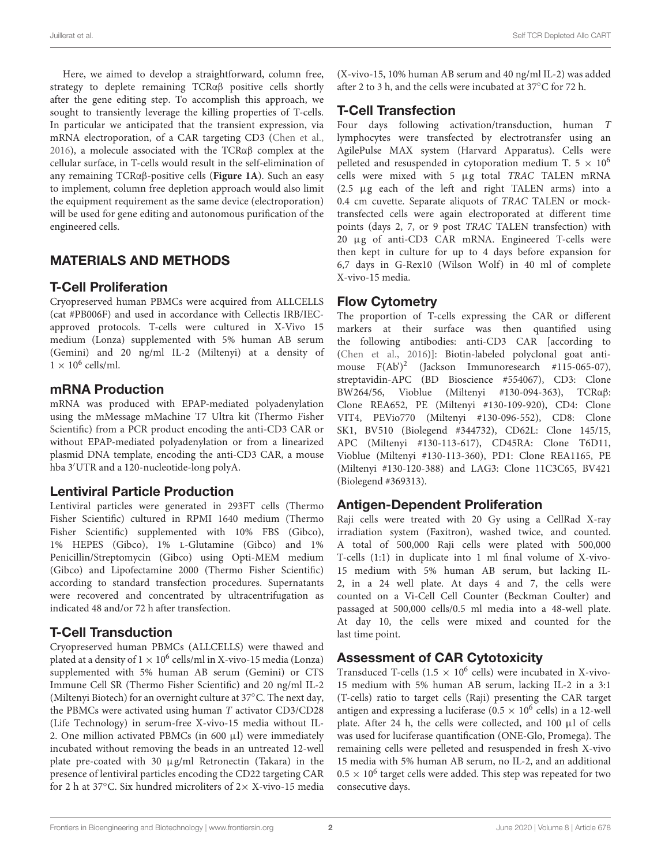Here, we aimed to develop a straightforward, column free, strategy to deplete remaining TCRαβ positive cells shortly after the gene editing step. To accomplish this approach, we sought to transiently leverage the killing properties of T-cells. In particular we anticipated that the transient expression, via mRNA electroporation, of a CAR targeting CD3 [\(Chen et al.,](#page-5-11) [2016\)](#page-5-11), a molecule associated with the TCRαβ complex at the cellular surface, in T-cells would result in the self-elimination of any remaining TCRαβ-positive cells (**[Figure 1A](#page-4-0)**). Such an easy to implement, column free depletion approach would also limit the equipment requirement as the same device (electroporation) will be used for gene editing and autonomous purification of the engineered cells.

# MATERIALS AND METHODS

### T-Cell Proliferation

Cryopreserved human PBMCs were acquired from ALLCELLS (cat #PB006F) and used in accordance with Cellectis IRB/IECapproved protocols. T-cells were cultured in X-Vivo 15 medium (Lonza) supplemented with 5% human AB serum (Gemini) and 20 ng/ml IL-2 (Miltenyi) at a density of  $1 \times 10^6$  cells/ml.

### mRNA Production

mRNA was produced with EPAP-mediated polyadenylation using the mMessage mMachine T7 Ultra kit (Thermo Fisher Scientific) from a PCR product encoding the anti-CD3 CAR or without EPAP-mediated polyadenylation or from a linearized plasmid DNA template, encoding the anti-CD3 CAR, a mouse hba 3'UTR and a 120-nucleotide-long polyA.

#### Lentiviral Particle Production

Lentiviral particles were generated in 293FT cells (Thermo Fisher Scientific) cultured in RPMI 1640 medium (Thermo Fisher Scientific) supplemented with 10% FBS (Gibco), 1% HEPES (Gibco), 1% L-Glutamine (Gibco) and 1% Penicillin/Streptomycin (Gibco) using Opti-MEM medium (Gibco) and Lipofectamine 2000 (Thermo Fisher Scientific) according to standard transfection procedures. Supernatants were recovered and concentrated by ultracentrifugation as indicated 48 and/or 72 h after transfection.

# T-Cell Transduction

Cryopreserved human PBMCs (ALLCELLS) were thawed and plated at a density of  $1\times10^6$  cells/ml in X-vivo-15 media (Lonza) supplemented with 5% human AB serum (Gemini) or CTS Immune Cell SR (Thermo Fisher Scientific) and 20 ng/ml IL-2 (Miltenyi Biotech) for an overnight culture at 37◦C. The next day, the PBMCs were activated using human T activator CD3/CD28 (Life Technology) in serum-free X-vivo-15 media without IL-2. One million activated PBMCs (in 600  $\mu$ l) were immediately incubated without removing the beads in an untreated 12-well plate pre-coated with 30 µg/ml Retronectin (Takara) in the presence of lentiviral particles encoding the CD22 targeting CAR for 2 h at 37◦C. Six hundred microliters of 2× X-vivo-15 media

(X-vivo-15, 10% human AB serum and 40 ng/ml IL-2) was added after 2 to 3 h, and the cells were incubated at 37◦C for 72 h.

### T-Cell Transfection

Four days following activation/transduction, human T lymphocytes were transfected by electrotransfer using an AgilePulse MAX system (Harvard Apparatus). Cells were pelleted and resuspended in cytoporation medium T.  $5 \times 10^6$ cells were mixed with 5 µg total TRAC TALEN mRNA (2.5 µg each of the left and right TALEN arms) into a 0.4 cm cuvette. Separate aliquots of TRAC TALEN or mocktransfected cells were again electroporated at different time points (days 2, 7, or 9 post TRAC TALEN transfection) with 20 µg of anti-CD3 CAR mRNA. Engineered T-cells were then kept in culture for up to 4 days before expansion for 6,7 days in G-Rex10 (Wilson Wolf) in 40 ml of complete X-vivo-15 media.

### Flow Cytometry

The proportion of T-cells expressing the CAR or different markers at their surface was then quantified using the following antibodies: anti-CD3 CAR [according to [\(Chen et al.,](#page-5-11) [2016\)](#page-5-11)]: Biotin-labeled polyclonal goat antimouse F(Ab')<sup>2</sup> (Jackson Immunoresearch #115-065-07), streptavidin-APC (BD Bioscience #554067), CD3: Clone BW264/56, Vioblue (Miltenyi #130-094-363), TCRαβ: Clone REA652, PE (Miltenyi #130-109-920), CD4: Clone VIT4, PEVio770 (Miltenyi #130-096-552), CD8: Clone SK1, BV510 (Biolegend #344732), CD62L: Clone 145/15, APC (Miltenyi #130-113-617), CD45RA: Clone T6D11, Vioblue (Miltenyi #130-113-360), PD1: Clone REA1165, PE (Miltenyi #130-120-388) and LAG3: Clone 11C3C65, BV421 (Biolegend #369313).

### Antigen-Dependent Proliferation

Raji cells were treated with 20 Gy using a CellRad X-ray irradiation system (Faxitron), washed twice, and counted. A total of 500,000 Raji cells were plated with 500,000 T-cells (1:1) in duplicate into 1 ml final volume of X-vivo-15 medium with 5% human AB serum, but lacking IL-2, in a 24 well plate. At days 4 and 7, the cells were counted on a Vi-Cell Cell Counter (Beckman Coulter) and passaged at 500,000 cells/0.5 ml media into a 48-well plate. At day 10, the cells were mixed and counted for the last time point.

# Assessment of CAR Cytotoxicity

Transduced T-cells ( $1.5 \times 10^6$  cells) were incubated in X-vivo-15 medium with 5% human AB serum, lacking IL-2 in a 3:1 (T-cells) ratio to target cells (Raji) presenting the CAR target antigen and expressing a luciferase ( $0.5 \times 10^6$  cells) in a 12-well plate. After 24 h, the cells were collected, and 100  $\mu$ l of cells was used for luciferase quantification (ONE-Glo, Promega). The remaining cells were pelleted and resuspended in fresh X-vivo 15 media with 5% human AB serum, no IL-2, and an additional  $0.5 \times 10^6$  target cells were added. This step was repeated for two consecutive days.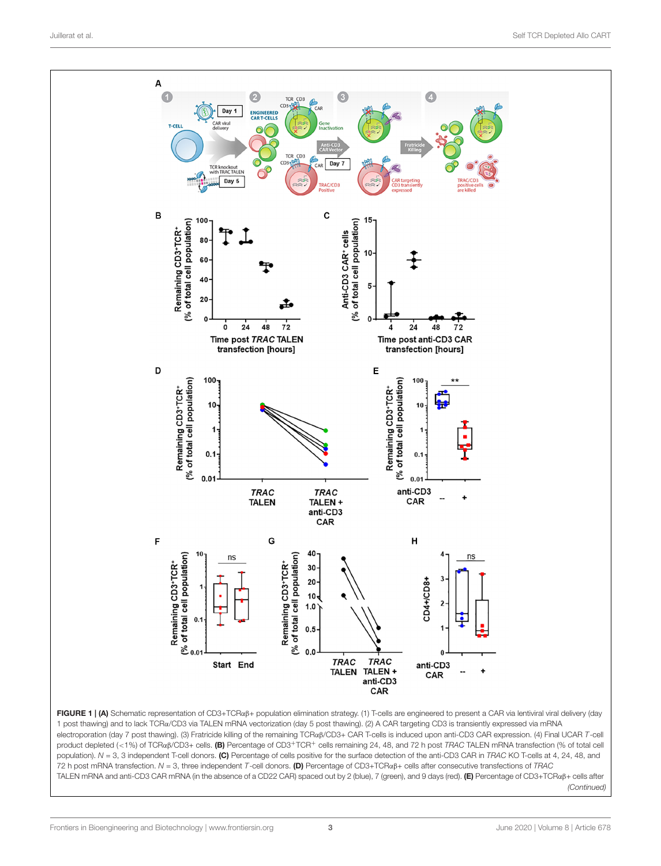

FIGURE 1 | (A) Schematic representation of CD3+TCRαβ+ population elimination strategy. (1) T-cells are engineered to present a CAR via lentiviral viral delivery (day 1 post thawing) and to lack TCRα/CD3 via TALEN mRNA vectorization (day 5 post thawing). (2) A CAR targeting CD3 is transiently expressed via mRNA electroporation (day 7 post thawing). (3) Fratricide killing of the remaining TCRαβ/CD3+ CAR T-cells is induced upon anti-CD3 CAR expression. (4) Final UCAR T-cell product depleted (<1%) of TCRαβ/CD3+ cells. (B) Percentage of CD3+TCR+ cells remaining 24, 48, and 72 h post TRAC TALEN mRNA transfection (% of total cell population).  $N = 3$ , 3 independent T-cell donors. (C) Percentage of cells positive for the surface detection of the anti-CD3 CAR in TRAC KO T-cells at 4, 24, 48, and 72 h post mRNA transfection. N = 3, three independent T-cell donors. (D) Percentage of CD3+TCRαβ+ cells after consecutive transfections of TRAC TALEN mRNA and anti-CD3 CAR mRNA (in the absence of a CD22 CAR) spaced out by 2 (blue), 7 (green), and 9 days (red). (E) Percentage of CD3+TCRαβ+ cells after (Continued)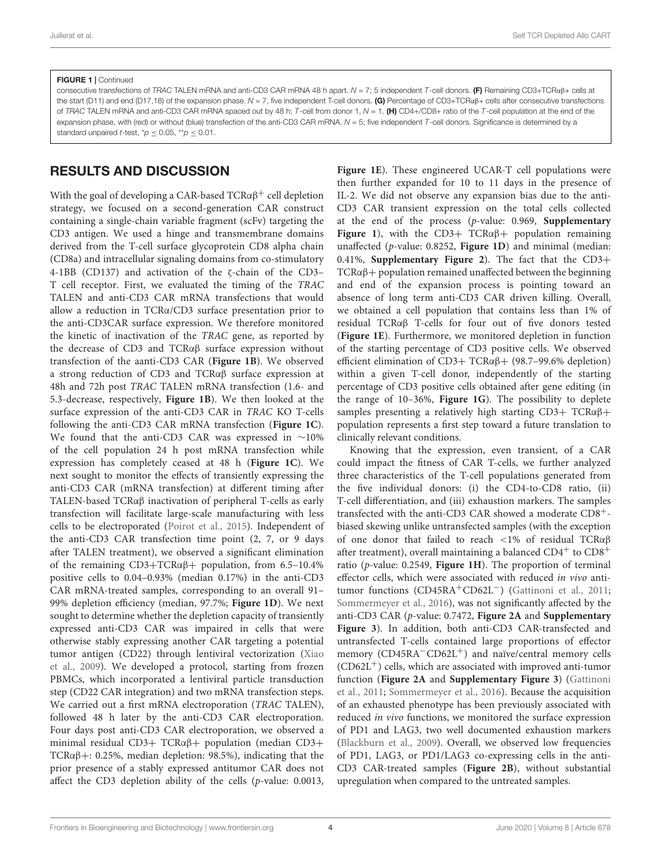#### FIGURE 1 | Continued

consecutive transfections of TRAC TALEN mRNA and anti-CD3 CAR mRNA 48 h apart.  $N = 7$ ; 5 independent T-cell donors. (F) Remaining CD3+TCR $\alpha$ B+ cells at the start (D11) and end (D17,18) of the expansion phase.  $N = 7$ , five independent T-cell donors. (G) Percentage of CD3+TCRa $\beta$ + cells after consecutive transfections of TRAC TALEN mRNA and anti-CD3 CAR mRNA spaced out by 48 h; T-cell from donor 1,  $N = 1$ . (H) CD4+/CD8+ ratio of the T-cell population at the end of the expansion phase, with (red) or without (blue) transfection of the anti-CD3 CAR mRNA.  $N = 5$ ; five independent  $T$ -cell donors. Significance is determined by a standard unpaired t-test,  $p' < 0.05$ , \*\*p  $\leq 0.01$ .

# RESULTS AND DISCUSSION

With the goal of developing a CAR-based  $TCR\alpha\beta^+$  cell depletion strategy, we focused on a second-generation CAR construct containing a single-chain variable fragment (scFv) targeting the CD3 antigen. We used a hinge and transmembrane domains derived from the T-cell surface glycoprotein CD8 alpha chain (CD8a) and intracellular signaling domains from co-stimulatory 4-1BB (CD137) and activation of the ζ-chain of the CD3– T cell receptor. First, we evaluated the timing of the TRAC TALEN and anti-CD3 CAR mRNA transfections that would allow a reduction in TCRα/CD3 surface presentation prior to the anti-CD3CAR surface expression. We therefore monitored the kinetic of inactivation of the TRAC gene, as reported by the decrease of CD3 and TCRαβ surface expression without transfection of the aanti-CD3 CAR (**[Figure 1B](#page-4-0)**). We observed a strong reduction of CD3 and TCRαβ surface expression at 48h and 72h post TRAC TALEN mRNA transfection (1.6- and 5.3-decrease, respectively, **[Figure 1B](#page-4-0)**). We then looked at the surface expression of the anti-CD3 CAR in TRAC KO T-cells following the anti-CD3 CAR mRNA transfection (**[Figure 1C](#page-4-0)**). We found that the anti-CD3 CAR was expressed in ∼10% of the cell population 24 h post mRNA transfection while expression has completely ceased at 48 h (**[Figure 1C](#page-4-0)**). We next sought to monitor the effects of transiently expressing the anti-CD3 CAR (mRNA transfection) at different timing after TALEN-based TCRαβ inactivation of peripheral T-cells as early transfection will facilitate large-scale manufacturing with less cells to be electroporated [\(Poirot et al.,](#page-5-2) [2015\)](#page-5-2). Independent of the anti-CD3 CAR transfection time point (2, 7, or 9 days after TALEN treatment), we observed a significant elimination of the remaining  $CD3+TCR\alpha\beta+$  population, from 6.5-10.4% positive cells to 0.04–0.93% (median 0.17%) in the anti-CD3 CAR mRNA-treated samples, corresponding to an overall 91– 99% depletion efficiency (median, 97.7%; **[Figure 1D](#page-4-0)**). We next sought to determine whether the depletion capacity of transiently expressed anti-CD3 CAR was impaired in cells that were otherwise stably expressing another CAR targeting a potential tumor antigen (CD22) through lentiviral vectorization [\(Xiao](#page-5-12) [et al.,](#page-5-12) [2009\)](#page-5-12). We developed a protocol, starting from frozen PBMCs, which incorporated a lentiviral particle transduction step (CD22 CAR integration) and two mRNA transfection steps. We carried out a first mRNA electroporation (TRAC TALEN), followed 48 h later by the anti-CD3 CAR electroporation. Four days post anti-CD3 CAR electroporation, we observed a minimal residual CD3+ TCRαβ+ population (median CD3+ TCR $\alpha\beta$ +: 0.25%, median depletion: 98.5%), indicating that the prior presence of a stably expressed antitumor CAR does not affect the CD3 depletion ability of the cells (p-value: 0.0013,

**[Figure 1E](#page-4-0)**). These engineered UCAR-T cell populations were then further expanded for 10 to 11 days in the presence of IL-2. We did not observe any expansion bias due to the anti-CD3 CAR transient expression on the total cells collected at the end of the process (p-value: 0.969, **[Supplementary](#page-5-13) [Figure 1](#page-5-13)**), with the  $CD3+TCR\alpha\beta+$  population remaining unaffected (p-value: 0.8252, **[Figure 1D](#page-4-0)**) and minimal (median: 0.41%, **[Supplementary Figure 2](#page-5-13)**). The fact that the CD3+ TCRαβ+ population remained unaffected between the beginning and end of the expansion process is pointing toward an absence of long term anti-CD3 CAR driven killing. Overall, we obtained a cell population that contains less than 1% of residual TCRαβ T-cells for four out of five donors tested (**[Figure 1E](#page-4-0)**). Furthermore, we monitored depletion in function of the starting percentage of CD3 positive cells. We observed efficient elimination of CD3+ TCRαβ+ (98.7–99.6% depletion) within a given T-cell donor, independently of the starting percentage of CD3 positive cells obtained after gene editing (in the range of 10–36%, **[Figure 1G](#page-4-0)**). The possibility to deplete samples presenting a relatively high starting  $CD3+TCR\alpha\beta+$ population represents a first step toward a future translation to clinically relevant conditions.

Knowing that the expression, even transient, of a CAR could impact the fitness of CAR T-cells, we further analyzed three characteristics of the T-cell populations generated from the five individual donors: (i) the CD4-to-CD8 ratio, (ii) T-cell differentiation, and (iii) exhaustion markers. The samples transfected with the anti-CD3 CAR showed a moderate CD8+ biased skewing unlike untransfected samples (with the exception of one donor that failed to reach <1% of residual TCRαβ after treatment), overall maintaining a balanced  $CD4^+$  to  $CD8^+$ ratio (p-value: 0.2549, **[Figure 1H](#page-4-0)**). The proportion of terminal effector cells, which were associated with reduced in vivo antitumor functions (CD45RA+CD62L−) [\(Gattinoni et al.,](#page-5-14) [2011;](#page-5-14) [Sommermeyer et al.,](#page-5-15) [2016\)](#page-5-15), was not significantly affected by the anti-CD3 CAR (p-value: 0.7472, **Figure 2A** and **[Supplementary](#page-5-13) [Figure 3](#page-5-13)**). In addition, both anti-CD3 CAR-transfected and untransfected T-cells contained large proportions of effector memory (CD45RA<sup>−</sup>CD62L<sup>+</sup>) and naïve/central memory cells  $(CD62L<sup>+</sup>)$  cells, which are associated with improved anti-tumor function (**Figure 2A** and **[Supplementary Figure 3](#page-5-13)**) [\(Gattinoni](#page-5-14) [et al.,](#page-5-14) [2011;](#page-5-14) [Sommermeyer et al.,](#page-5-15) [2016\)](#page-5-15). Because the acquisition of an exhausted phenotype has been previously associated with reduced in vivo functions, we monitored the surface expression of PD1 and LAG3, two well documented exhaustion markers [\(Blackburn et al.,](#page-5-16) [2009\)](#page-5-16). Overall, we observed low frequencies of PD1, LAG3, or PD1/LAG3 co-expressing cells in the anti-CD3 CAR-treated samples (**Figure 2B**), without substantial upregulation when compared to the untreated samples.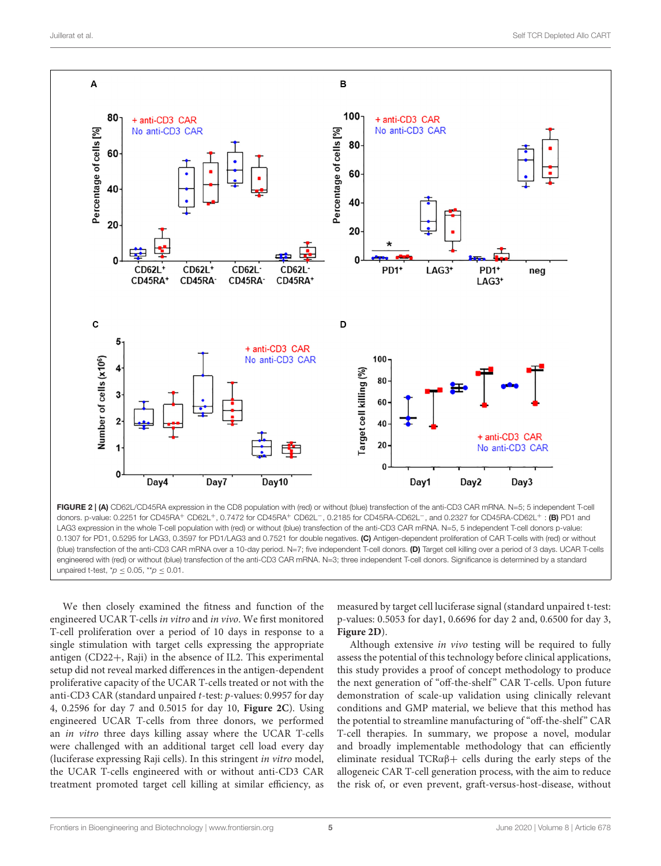

<span id="page-4-0"></span>FIGURE 2 | (A) CD62L/CD45RA expression in the CD8 population with (red) or without (blue) transfection of the anti-CD3 CAR mRNA. N=5; 5 independent T-cell donors. p-value: 0.2251 for CD45RA+ CD62L+, 0.7472 for CD45RA+ CD62L−, 0.2185 for CD45RA-CD62L−, and 0.2327 for CD45RA-CD62L+ : (B) PD1 and LAG3 expression in the whole T-cell population with (red) or without (blue) transfection of the anti-CD3 CAR mRNA. N=5, 5 independent T-cell donors p-value: 0.1307 for PD1, 0.5295 for LAG3, 0.3597 for PD1/LAG3 and 0.7521 for double negatives. (C) Antigen-dependent proliferation of CAR T-cells with (red) or without (blue) transfection of the anti-CD3 CAR mRNA over a 10-day period. N=7; five independent T-cell donors. (D) Target cell killing over a period of 3 days. UCAR T-cells engineered with (red) or without (blue) transfection of the anti-CD3 CAR mRNA. N=3; three independent T-cell donors. Significance is determined by a standard unpaired t-test,  $p \leq 0.05$ , \*\*p  $\leq 0.01$ .

We then closely examined the fitness and function of the engineered UCAR T-cells in vitro and in vivo. We first monitored T-cell proliferation over a period of 10 days in response to a single stimulation with target cells expressing the appropriate antigen (CD22+, Raji) in the absence of IL2. This experimental setup did not reveal marked differences in the antigen-dependent proliferative capacity of the UCAR T-cells treated or not with the anti-CD3 CAR (standard unpaired t-test: p-values: 0.9957 for day 4, 0.2596 for day 7 and 0.5015 for day 10, **Figure 2C**). Using engineered UCAR T-cells from three donors, we performed an in vitro three days killing assay where the UCAR T-cells were challenged with an additional target cell load every day (luciferase expressing Raji cells). In this stringent in vitro model, the UCAR T-cells engineered with or without anti-CD3 CAR treatment promoted target cell killing at similar efficiency, as

measured by target cell luciferase signal (standard unpaired t-test: p-values: 0.5053 for day1, 0.6696 for day 2 and, 0.6500 for day 3, **Figure 2D**).

Although extensive in vivo testing will be required to fully assess the potential of this technology before clinical applications, this study provides a proof of concept methodology to produce the next generation of "off-the-shelf" CAR T-cells. Upon future demonstration of scale-up validation using clinically relevant conditions and GMP material, we believe that this method has the potential to streamline manufacturing of "off-the-shelf" CAR T-cell therapies. In summary, we propose a novel, modular and broadly implementable methodology that can efficiently eliminate residual TCR $\alpha\beta$ + cells during the early steps of the allogeneic CAR T-cell generation process, with the aim to reduce the risk of, or even prevent, graft-versus-host-disease, without